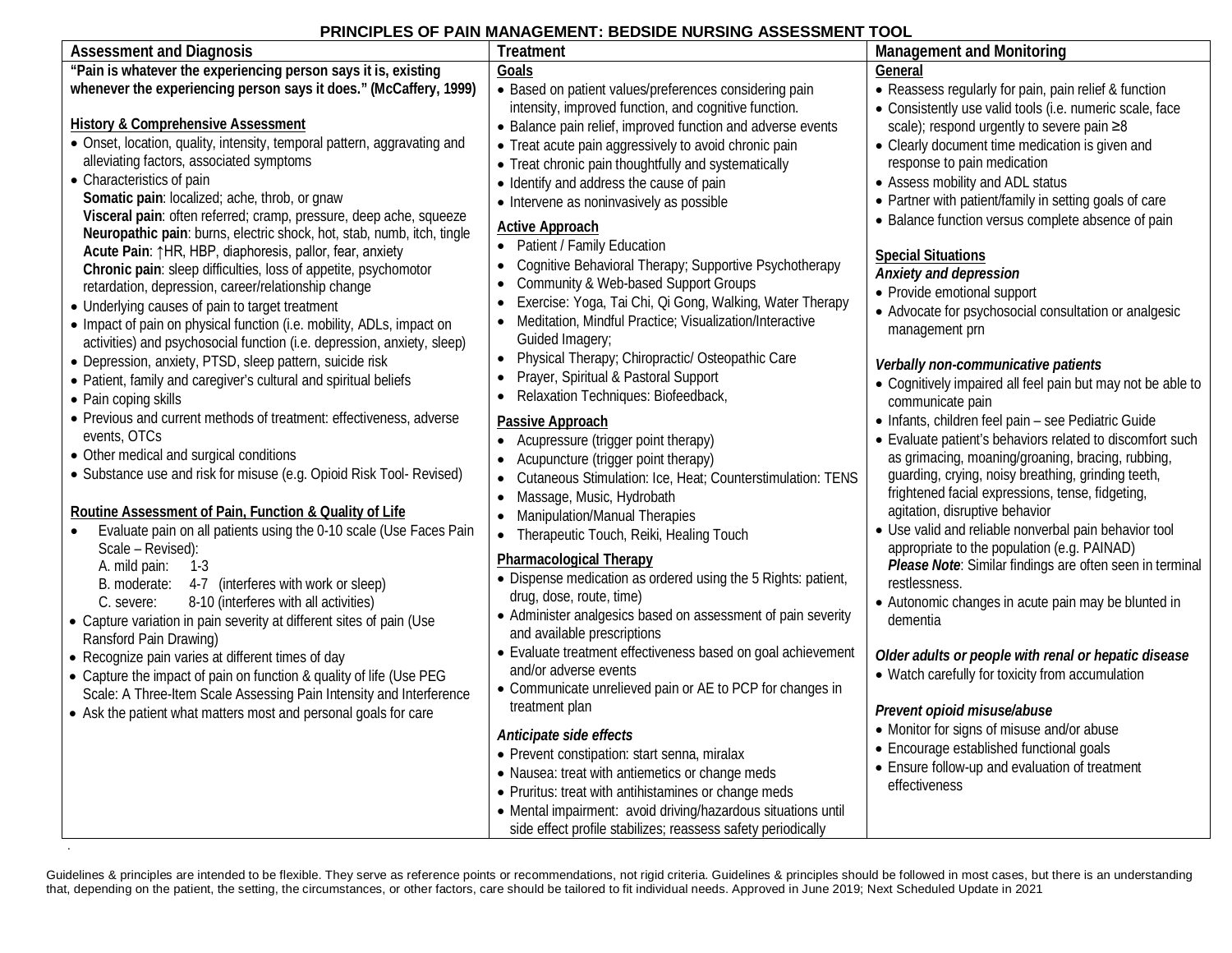## **PRINCIPLES OF PAIN MANAGEMENT: BEDSIDE NURSING ASSESSMENT TOOL**

| <b>Assessment and Diagnosis</b>                                                                                                                                                                                                                                                                                                                                                                                                                                                                                                                                                            | <b>Treatment</b>                                                                                                                                                                                                                                                                                                                                                                                                                                                                            | <b>Management and Monitoring</b>                                                                                                                                                                                                                                                                                                                                           |
|--------------------------------------------------------------------------------------------------------------------------------------------------------------------------------------------------------------------------------------------------------------------------------------------------------------------------------------------------------------------------------------------------------------------------------------------------------------------------------------------------------------------------------------------------------------------------------------------|---------------------------------------------------------------------------------------------------------------------------------------------------------------------------------------------------------------------------------------------------------------------------------------------------------------------------------------------------------------------------------------------------------------------------------------------------------------------------------------------|----------------------------------------------------------------------------------------------------------------------------------------------------------------------------------------------------------------------------------------------------------------------------------------------------------------------------------------------------------------------------|
| "Pain is whatever the experiencing person says it is, existing                                                                                                                                                                                                                                                                                                                                                                                                                                                                                                                             | Goals                                                                                                                                                                                                                                                                                                                                                                                                                                                                                       | General                                                                                                                                                                                                                                                                                                                                                                    |
| whenever the experiencing person says it does." (McCaffery, 1999)<br><b>History &amp; Comprehensive Assessment</b><br>• Onset, location, quality, intensity, temporal pattern, aggravating and<br>alleviating factors, associated symptoms<br>• Characteristics of pain                                                                                                                                                                                                                                                                                                                    | • Based on patient values/preferences considering pain<br>intensity, improved function, and cognitive function.<br>• Balance pain relief, improved function and adverse events<br>• Treat acute pain aggressively to avoid chronic pain<br>• Treat chronic pain thoughtfully and systematically<br>• Identify and address the cause of pain                                                                                                                                                 | • Reassess regularly for pain, pain relief & function<br>• Consistently use valid tools (i.e. numeric scale, face<br>scale); respond urgently to severe pain ≥8<br>• Clearly document time medication is given and<br>response to pain medication<br>• Assess mobility and ADL status                                                                                      |
| Somatic pain: localized; ache, throb, or gnaw<br>Visceral pain: often referred; cramp, pressure, deep ache, squeeze<br>Neuropathic pain: burns, electric shock, hot, stab, numb, itch, tingle<br>Acute Pain: 1HR, HBP, diaphoresis, pallor, fear, anxiety<br>Chronic pain: sleep difficulties, loss of appetite, psychomotor<br>retardation, depression, career/relationship change<br>• Underlying causes of pain to target treatment<br>• Impact of pain on physical function (i.e. mobility, ADLs, impact on<br>activities) and psychosocial function (i.e. depression, anxiety, sleep) | • Intervene as noninvasively as possible<br><b>Active Approach</b><br>• Patient / Family Education<br>Cognitive Behavioral Therapy; Supportive Psychotherapy<br>Community & Web-based Support Groups<br>Exercise: Yoga, Tai Chi, Qi Gong, Walking, Water Therapy<br>Meditation, Mindful Practice; Visualization/Interactive<br>Guided Imagery;                                                                                                                                              | • Partner with patient/family in setting goals of care<br>• Balance function versus complete absence of pain<br><b>Special Situations</b><br>Anxiety and depression<br>• Provide emotional support<br>• Advocate for psychosocial consultation or analgesic<br>management prn                                                                                              |
| • Depression, anxiety, PTSD, sleep pattern, suicide risk<br>• Patient, family and caregiver's cultural and spiritual beliefs<br>• Pain coping skills                                                                                                                                                                                                                                                                                                                                                                                                                                       | Physical Therapy; Chiropractic/ Osteopathic Care<br>$\bullet$<br>Prayer, Spiritual & Pastoral Support<br>$\bullet$<br>Relaxation Techniques: Biofeedback,                                                                                                                                                                                                                                                                                                                                   | Verbally non-communicative patients<br>• Cognitively impaired all feel pain but may not be able to<br>communicate pain                                                                                                                                                                                                                                                     |
| • Previous and current methods of treatment: effectiveness, adverse<br>events, OTCs<br>• Other medical and surgical conditions<br>• Substance use and risk for misuse (e.g. Opioid Risk Tool- Revised)<br>Routine Assessment of Pain, Function & Quality of Life<br>Evaluate pain on all patients using the 0-10 scale (Use Faces Pain                                                                                                                                                                                                                                                     | Passive Approach<br>Acupressure (trigger point therapy)<br>Acupuncture (trigger point therapy)<br>$\bullet$<br>Cutaneous Stimulation: Ice, Heat; Counterstimulation: TENS<br>$\bullet$<br>Massage, Music, Hydrobath<br>$\bullet$<br><b>Manipulation/Manual Therapies</b><br>$\bullet$<br>Therapeutic Touch, Reiki, Healing Touch<br>$\bullet$                                                                                                                                               | · Infants, children feel pain - see Pediatric Guide<br>• Evaluate patient's behaviors related to discomfort such<br>as grimacing, moaning/groaning, bracing, rubbing,<br>guarding, crying, noisy breathing, grinding teeth,<br>frightened facial expressions, tense, fidgeting,<br>agitation, disruptive behavior<br>• Use valid and reliable nonverbal pain behavior tool |
| Scale - Revised):<br>A. mild pain:<br>$1-3$<br>B. moderate: 4-7 (interferes with work or sleep)<br>8-10 (interferes with all activities)<br>C. severe:<br>• Capture variation in pain severity at different sites of pain (Use<br>Ransford Pain Drawing)                                                                                                                                                                                                                                                                                                                                   | <b>Pharmacological Therapy</b><br>• Dispense medication as ordered using the 5 Rights: patient,<br>drug, dose, route, time)<br>• Administer analgesics based on assessment of pain severity<br>and available prescriptions                                                                                                                                                                                                                                                                  | appropriate to the population (e.g. PAINAD)<br>Please Note: Similar findings are often seen in terminal<br>restlessness.<br>• Autonomic changes in acute pain may be blunted in<br>dementia                                                                                                                                                                                |
| • Recognize pain varies at different times of day<br>• Capture the impact of pain on function & quality of life (Use PEG<br>Scale: A Three-Item Scale Assessing Pain Intensity and Interference<br>• Ask the patient what matters most and personal goals for care                                                                                                                                                                                                                                                                                                                         | • Evaluate treatment effectiveness based on goal achievement<br>and/or adverse events<br>• Communicate unrelieved pain or AE to PCP for changes in<br>treatment plan<br>Anticipate side effects<br>• Prevent constipation: start senna, miralax<br>• Nausea: treat with antiemetics or change meds<br>• Pruritus: treat with antihistamines or change meds<br>• Mental impairment: avoid driving/hazardous situations until<br>side effect profile stabilizes; reassess safety periodically | Older adults or people with renal or hepatic disease<br>• Watch carefully for toxicity from accumulation<br>Prevent opioid misuse/abuse<br>• Monitor for signs of misuse and/or abuse<br>• Encourage established functional goals<br>• Ensure follow-up and evaluation of treatment<br>effectiveness                                                                       |

Guidelines & principles are intended to be flexible. They serve as reference points or recommendations, not rigid criteria. Guidelines & principles should be followed in most cases, but there is an understanding that, depending on the patient, the setting, the circumstances, or other factors, care should be tailored to fit individual needs. Approved in June 2019; Next Scheduled Update in 2021